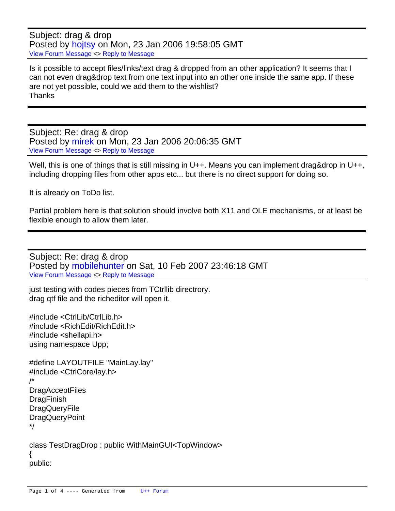Subject: drag & drop Posted by [hojtsy](https://www.ultimatepp.org/forums/index.php?t=usrinfo&id=58) on Mon, 23 Jan 2006 19:58:05 GMT [View Forum Message](https://www.ultimatepp.org/forums/index.php?t=rview&th=204&goto=650#msg_650) <> [Reply to Message](https://www.ultimatepp.org/forums/index.php?t=post&reply_to=650)

Is it possible to accept files/links/text drag & dropped from an other application? It seems that I can not even drag&drop text from one text input into an other one inside the same app. If these are not yet possible, could we add them to the wishlist? **Thanks** 

Subject: Re: drag & drop Posted by [mirek](https://www.ultimatepp.org/forums/index.php?t=usrinfo&id=3) on Mon, 23 Jan 2006 20:06:35 GMT [View Forum Message](https://www.ultimatepp.org/forums/index.php?t=rview&th=204&goto=651#msg_651) <> [Reply to Message](https://www.ultimatepp.org/forums/index.php?t=post&reply_to=651)

Well, this is one of things that is still missing in U++. Means you can implement drag&drop in U++, including dropping files from other apps etc... but there is no direct support for doing so.

It is already on ToDo list.

Partial problem here is that solution should involve both X11 and OLE mechanisms, or at least be flexible enough to allow them later.

Subject: Re: drag & drop Posted by [mobilehunter](https://www.ultimatepp.org/forums/index.php?t=usrinfo&id=242) on Sat, 10 Feb 2007 23:46:18 GMT [View Forum Message](https://www.ultimatepp.org/forums/index.php?t=rview&th=204&goto=8119#msg_8119) <> [Reply to Message](https://www.ultimatepp.org/forums/index.php?t=post&reply_to=8119)

just testing with codes pieces from TCtrllib directrory. drag qtf file and the richeditor will open it.

#include <CtrlLib/CtrlLib.h> #include <RichEdit/RichEdit.h> #include <shellapi.h> using namespace Upp;

#define LAYOUTFILE "MainLay.lay" #include <CtrlCore/lay.h> /\* **DragAcceptFiles DragFinish DragQueryFile** DragQueryPoint \*/

class TestDragDrop : public WithMainGUI<TopWindow> { public: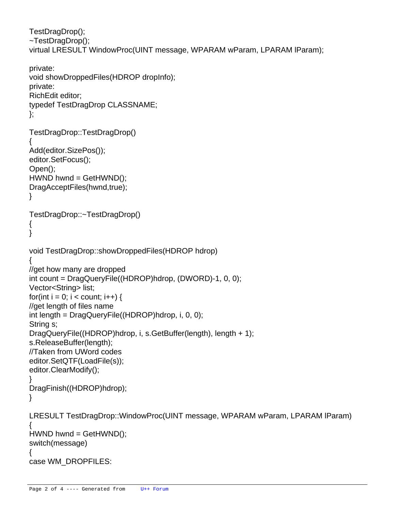```
		TestDragDrop();
		~TestDragDrop();	
		virtual LRESULT WindowProc(UINT message, WPARAM wParam, LPARAM lParam);
```

```
	private:
 		void showDroppedFiles(HDROP dropInfo);
	private:
 		RichEdit editor;
 		typedef TestDragDrop CLASSNAME;
};
TestDragDrop::TestDragDrop()
{
	Add(editor.SizePos());
	editor.SetFocus();
	Open();
	HWND hwnd = GetHWND();
	DragAcceptFiles(hwnd,true);
}
TestDragDrop::~TestDragDrop()
{
}
void TestDragDrop::showDroppedFiles(HDROP hdrop)
{
	//get how many are dropped
	int count = DragQueryFile((HDROP)hdrop, (DWORD)-1, 0, 0);
	Vector<String> list;
for(int i = 0; i < count; i+1} {
 		//get length of files name
 		int length = DragQueryFile((HDROP)hdrop, i, 0, 0);
 		String s;
 		DragQueryFile((HDROP)hdrop, i, s.GetBuffer(length), length + 1);
 		s.ReleaseBuffer(length);
 		//Taken from UWord codes
 		editor.SetQTF(LoadFile(s));
 		editor.ClearModify();
	}
	DragFinish((HDROP)hdrop);
}
LRESULT TestDragDrop::WindowProc(UINT message, WPARAM wParam, LPARAM lParam)
{
	HWND hwnd = GetHWND();
	switch(message) 
	{
 		case WM_DROPFILES:
```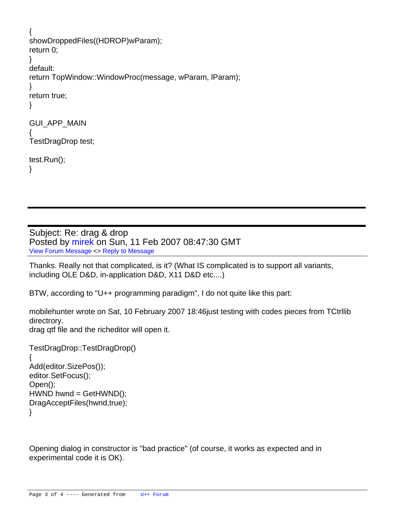```
		{
 			showDroppedFiles((HDROP)wParam);
 			return 0;
 		}
 		default:
 			return TopWindow::WindowProc(message, wParam, lParam);
	}
	return true;
}
GUI_APP_MAIN
{
	TestDragDrop test;
	test.Run();
}
```
Subject: Re: drag & drop Posted by [mirek](https://www.ultimatepp.org/forums/index.php?t=usrinfo&id=3) on Sun, 11 Feb 2007 08:47:30 GMT [View Forum Message](https://www.ultimatepp.org/forums/index.php?t=rview&th=204&goto=8122#msg_8122) <> [Reply to Message](https://www.ultimatepp.org/forums/index.php?t=post&reply_to=8122)

Thanks. Really not that complicated, is it? (What IS complicated is to support all variants, including OLE D&D, in-application D&D, X11 D&D etc....)

BTW, according to "U++ programming paradigm", I do not quite like this part:

mobilehunter wrote on Sat, 10 February 2007 18:46just testing with codes pieces from TCtrllib directrory.

drag qtf file and the richeditor will open it.

```
TestDragDrop::TestDragDrop()
{
	Add(editor.SizePos());
	editor.SetFocus();
	Open();
	HWND hwnd = GetHWND();
	DragAcceptFiles(hwnd,true);
}
```
Opening dialog in constructor is "bad practice" (of course, it works as expected and in experimental code it is OK).